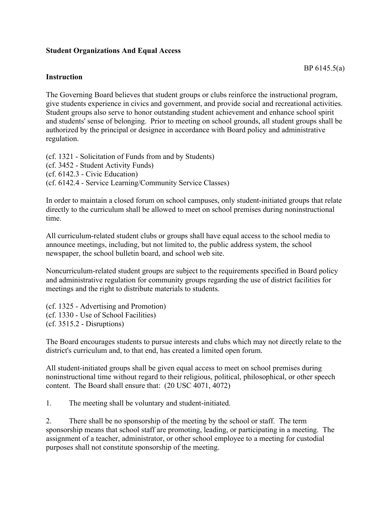## **Student Organizations And Equal Access**

## **Instruction**

The Governing Board believes that student groups or clubs reinforce the instructional program, give students experience in civics and government, and provide social and recreational activities. Student groups also serve to honor outstanding student achievement and enhance school spirit and students' sense of belonging. Prior to meeting on school grounds, all student groups shall be authorized by the principal or designee in accordance with Board policy and administrative regulation.

(cf. 1321 - Solicitation of Funds from and by Students) (cf. 3452 - Student Activity Funds) (cf. 6142.3 - Civic Education) (cf. 6142.4 - Service Learning/Community Service Classes)

In order to maintain a closed forum on school campuses, only student-initiated groups that relate directly to the curriculum shall be allowed to meet on school premises during noninstructional time.

All curriculum-related student clubs or groups shall have equal access to the school media to announce meetings, including, but not limited to, the public address system, the school newspaper, the school bulletin board, and school web site.

Noncurriculum-related student groups are subject to the requirements specified in Board policy and administrative regulation for community groups regarding the use of district facilities for meetings and the right to distribute materials to students.

(cf. 1325 - Advertising and Promotion) (cf. 1330 - Use of School Facilities) (cf. 3515.2 - Disruptions)

The Board encourages students to pursue interests and clubs which may not directly relate to the district's curriculum and, to that end, has created a limited open forum.

All student-initiated groups shall be given equal access to meet on school premises during noninstructional time without regard to their religious, political, philosophical, or other speech content. The Board shall ensure that: (20 USC 4071, 4072)

1. The meeting shall be voluntary and student-initiated.

2. There shall be no sponsorship of the meeting by the school or staff. The term sponsorship means that school staff are promoting, leading, or participating in a meeting. The assignment of a teacher, administrator, or other school employee to a meeting for custodial purposes shall not constitute sponsorship of the meeting.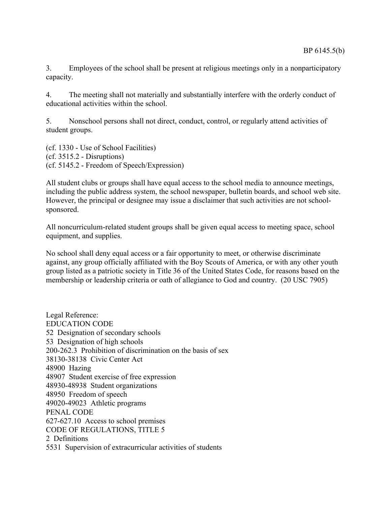3. Employees of the school shall be present at religious meetings only in a nonparticipatory capacity.

4. The meeting shall not materially and substantially interfere with the orderly conduct of educational activities within the school.

5. Nonschool persons shall not direct, conduct, control, or regularly attend activities of student groups.

(cf. 1330 - Use of School Facilities) (cf. 3515.2 - Disruptions) (cf. 5145.2 - Freedom of Speech/Expression)

All student clubs or groups shall have equal access to the school media to announce meetings, including the public address system, the school newspaper, bulletin boards, and school web site. However, the principal or designee may issue a disclaimer that such activities are not schoolsponsored.

All noncurriculum-related student groups shall be given equal access to meeting space, school equipment, and supplies.

No school shall deny equal access or a fair opportunity to meet, or otherwise discriminate against, any group officially affiliated with the Boy Scouts of America, or with any other youth group listed as a patriotic society in Title 36 of the United States Code, for reasons based on the membership or leadership criteria or oath of allegiance to God and country. (20 USC 7905)

Legal Reference: EDUCATION CODE 52 Designation of secondary schools 53 Designation of high schools 200-262.3 Prohibition of discrimination on the basis of sex 38130-38138 Civic Center Act 48900 Hazing 48907 Student exercise of free expression 48930-48938 Student organizations 48950 Freedom of speech 49020-49023 Athletic programs PENAL CODE 627-627.10 Access to school premises CODE OF REGULATIONS, TITLE 5 2 Definitions 5531 Supervision of extracurricular activities of students